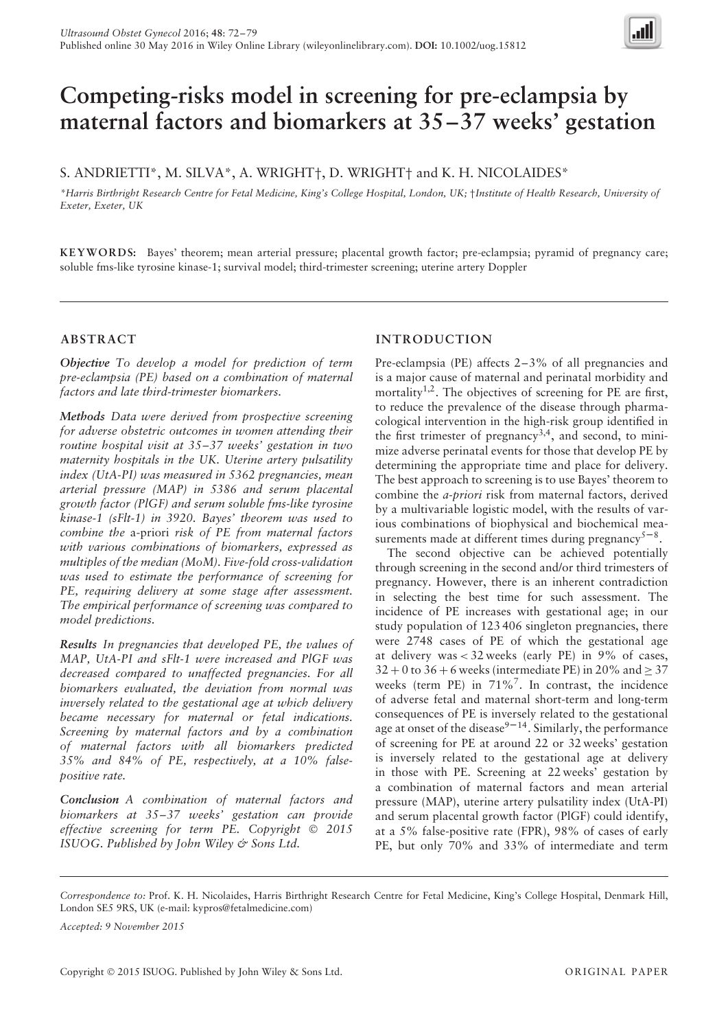

# **Competing-risks model in screening for pre-eclampsia by maternal factors and biomarkers at 35–37 weeks' gestation**

S. ANDRIETTI\*, M. SILVA\*, A. WRIGHT†, D. WRIGHT† and K. H. NICOLAIDES\*

*\*Harris Birthright Research Centre for Fetal Medicine, King's College Hospital, London, UK;* †*Institute of Health Research, University of Exeter, Exeter, UK*

**KEYWORDS:** Bayes' theorem; mean arterial pressure; placental growth factor; pre-eclampsia; pyramid of pregnancy care; soluble fms-like tyrosine kinase-1; survival model; third-trimester screening; uterine artery Doppler

# **ABSTRACT**

*Objective To develop a model for prediction of term pre-eclampsia (PE) based on a combination of maternal factors and late third-trimester biomarkers.*

*Methods Data were derived from prospective screening for adverse obstetric outcomes in women attending their routine hospital visit at 35–37 weeks' gestation in two maternity hospitals in the UK. Uterine artery pulsatility index (UtA-PI) was measured in 5362 pregnancies, mean arterial pressure (MAP) in 5386 and serum placental growth factor (PlGF) and serum soluble fms-like tyrosine kinase-1 (sFlt-1) in 3920. Bayes' theorem was used to combine the* a-priori *risk of PE from maternal factors with various combinations of biomarkers, expressed as multiples of the median (MoM). Five-fold cross-validation was used to estimate the performance of screening for PE, requiring delivery at some stage after assessment. The empirical performance of screening was compared to model predictions.*

*Results In pregnancies that developed PE, the values of MAP, UtA-PI and sFlt-1 were increased and PlGF was decreased compared to unaffected pregnancies. For all biomarkers evaluated, the deviation from normal was inversely related to the gestational age at which delivery became necessary for maternal or fetal indications. Screening by maternal factors and by a combination of maternal factors with all biomarkers predicted 35% and 84% of PE, respectively, at a 10% falsepositive rate.*

*Conclusion A combination of maternal factors and biomarkers at 35–37 weeks' gestation can provide effective screening for term PE. Copyright* © *2015 ISUOG. Published by John Wiley & Sons Ltd.*

# **INTRODUCTION**

Pre-eclampsia (PE) affects 2–3% of all pregnancies and is a major cause of maternal and perinatal morbidity and mortality<sup>1,2</sup>. The objectives of screening for PE are first, to reduce the prevalence of the disease through pharmacological intervention in the high-risk group identified in the first trimester of pregnancy<sup>3,4</sup>, and second, to minimize adverse perinatal events for those that develop PE by determining the appropriate time and place for delivery. The best approach to screening is to use Bayes' theorem to combine the *a-priori* risk from maternal factors, derived by a multivariable logistic model, with the results of various combinations of biophysical and biochemical measurements made at different times during pregnancy<sup>5-8</sup>.

The second objective can be achieved potentially through screening in the second and/or third trimesters of pregnancy. However, there is an inherent contradiction in selecting the best time for such assessment. The incidence of PE increases with gestational age; in our study population of 123 406 singleton pregnancies, there were 2748 cases of PE of which the gestational age at delivery was *<* 32 weeks (early PE) in 9% of cases,  $32 + 0$  to  $36 + 6$  weeks (intermediate PE) in 20% and  $\geq 37$ weeks (term PE) in 71%7. In contrast, the incidence of adverse fetal and maternal short-term and long-term consequences of PE is inversely related to the gestational age at onset of the disease $9-14$ . Similarly, the performance of screening for PE at around 22 or 32 weeks' gestation is inversely related to the gestational age at delivery in those with PE. Screening at 22 weeks' gestation by a combination of maternal factors and mean arterial pressure (MAP), uterine artery pulsatility index (UtA-PI) and serum placental growth factor (PlGF) could identify, at a 5% false-positive rate (FPR), 98% of cases of early PE, but only 70% and 33% of intermediate and term

*Correspondence to:* Prof. K. H. Nicolaides, Harris Birthright Research Centre for Fetal Medicine, King's College Hospital, Denmark Hill, London SE5 9RS, UK (e-mail: kypros@fetalmedicine.com)

*Accepted: 9 November 2015*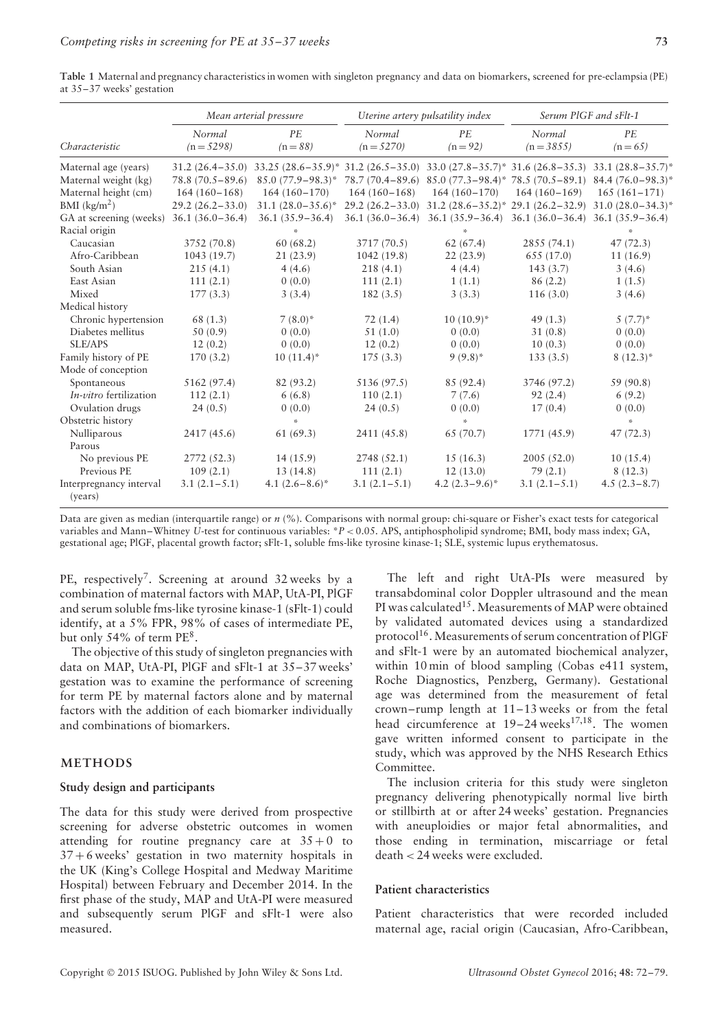|                                    | Mean arterial pressure |                         |                      | Uterine artery pulsatility index                               |                | Serum PIGF and sFlt-1                                          |  |
|------------------------------------|------------------------|-------------------------|----------------------|----------------------------------------------------------------|----------------|----------------------------------------------------------------|--|
|                                    | Normal                 | PE                      | Normal               | PE                                                             | Normal         | PE                                                             |  |
| Characteristic                     | $(n = 5298)$           | $(n = 88)$              | $(n = 5270)$         | $(n=92)$                                                       | $(n = 3855)$   | $(n=65)$                                                       |  |
| Maternal age (years)               | $31.2(26.4 - 35.0)$    | $33.25 (28.6 - 35.9)^*$ | $31.2(26.5-35.0)$    |                                                                |                | $33.0 (27.8 - 35.7)^* 31.6 (26.8 - 35.3) 33.1 (28.8 - 35.7)^*$ |  |
| Maternal weight (kg)               | $78.8(70.5-89.6)$      | $85.0(77.9 - 98.3)^*$   | $78.7(70.4-89.6)$    |                                                                |                | $85.0 (77.3 - 98.4)^*$ 78.5 (70.5 - 89.1) 84.4 (76.0 - 98.3)*  |  |
| Maternal height (cm)               | $164(160-168)$         | $164(160-170)$          | $164(160-168)$       | $164(160-170)$                                                 | $164(160-169)$ | $165(161-171)$                                                 |  |
| $BMI$ (kg/m <sup>2</sup> )         | $29.2(26.2 - 33.0)$    | $31.1 (28.0 - 35.6)^*$  | $29.2(26.2 - 33.0)$  | $31.2 (28.6 - 35.2)^* 29.1 (26.2 - 32.9)$                      |                | $31.0 (28.0 - 34.3)^*$                                         |  |
| GA at screening (weeks)            | $36.1 (36.0 - 36.4)$   | $36.1(35.9 - 36.4)$     | $36.1 (36.0 - 36.4)$ | $36.1 (35.9 - 36.4)$ $36.1 (36.0 - 36.4)$ $36.1 (35.9 - 36.4)$ |                |                                                                |  |
| Racial origin                      |                        | ×.                      |                      | $\mathbf{x}_i^t$                                               |                | ×.                                                             |  |
| Caucasian                          | 3752 (70.8)            | 60(68.2)                | 3717 (70.5)          | 62(67.4)                                                       | 2855 (74.1)    | 47(72.3)                                                       |  |
| Afro-Caribbean                     | 1043 (19.7)            | 21(23.9)                | 1042(19.8)           | 22(23.9)                                                       | 655 (17.0)     | 11(16.9)                                                       |  |
| South Asian                        | 215(4.1)               | 4(4.6)                  | 218(4.1)             | 4(4.4)                                                         | 143(3.7)       | 3(4.6)                                                         |  |
| East Asian                         | 111(2.1)               | 0(0.0)                  | 111(2.1)             | 1(1.1)                                                         | 86(2.2)        | 1(1.5)                                                         |  |
| Mixed                              | 177(3.3)               | 3(3.4)                  | 182(3.5)             | 3(3.3)                                                         | 116(3.0)       | 3(4.6)                                                         |  |
| Medical history                    |                        |                         |                      |                                                                |                |                                                                |  |
| Chronic hypertension               | 68 (1.3)               | $7(8.0)$ *              | 72(1.4)              | $10(10.9)^*$                                                   | 49(1.3)        | $5(7.7)^*$                                                     |  |
| Diabetes mellitus                  | 50(0.9)                | 0(0.0)                  | 51(1.0)              | 0(0.0)                                                         | 31(0.8)        | 0(0.0)                                                         |  |
| SLE/APS                            | 12(0.2)                | 0(0.0)                  | 12(0.2)              | 0(0.0)                                                         | 10(0.3)        | 0(0.0)                                                         |  |
| Family history of PE               | 170(3.2)               | $10(11.4)^*$            | 175(3.3)             | $9(9.8)^*$                                                     | 133(3.5)       | $8(12.3)^*$                                                    |  |
| Mode of conception                 |                        |                         |                      |                                                                |                |                                                                |  |
| Spontaneous                        | 5162 (97.4)            | 82 (93.2)               | 5136 (97.5)          | 85 (92.4)                                                      | 3746 (97.2)    | 59 (90.8)                                                      |  |
| In-vitro fertilization             | 112(2.1)               | 6(6.8)                  | 110(2.1)             | 7(7.6)                                                         | 92(2.4)        | 6(9.2)                                                         |  |
| Ovulation drugs                    | 24(0.5)                | 0(0.0)                  | 24(0.5)              | 0(0.0)                                                         | 17(0.4)        | 0(0.0)                                                         |  |
| Obstetric history                  |                        | ×,                      |                      | ×.                                                             |                | st.                                                            |  |
| Nulliparous                        | 2417 (45.6)            | 61(69.3)                | 2411 (45.8)          | 65 (70.7)                                                      | 1771 (45.9)    | 47(72.3)                                                       |  |
| Parous                             |                        |                         |                      |                                                                |                |                                                                |  |
| No previous PE                     | 2772 (52.3)            | 14(15.9)                | 2748 (52.1)          | 15(16.3)                                                       | 2005(52.0)     | 10(15.4)                                                       |  |
| Previous PE                        | 109(2.1)               | 13(14.8)                | 111(2.1)             | 12(13.0)                                                       | 79(2.1)        | 8(12.3)                                                        |  |
| Interpregnancy interval<br>(years) | $3.1(2.1-5.1)$         | 4.1 $(2.6-8.6)^*$       | $3.1(2.1-5.1)$       | 4.2 $(2.3-9.6)^*$                                              | $3.1(2.1-5.1)$ | $4.5(2.3 - 8.7)$                                               |  |

**Table 1** Maternal and pregnancy characteristics in women with singleton pregnancy and data on biomarkers, screened for pre-eclampsia (PE) at 35–37 weeks' gestation

Data are given as median (interquartile range) or *n* (%). Comparisons with normal group: chi-square or Fisher's exact tests for categorical variables and Mann–Whitney *U*-test for continuous variables: \**P <* 0.05. APS, antiphospholipid syndrome; BMI, body mass index; GA, gestational age; PlGF, placental growth factor; sFlt-1, soluble fms-like tyrosine kinase-1; SLE, systemic lupus erythematosus.

PE, respectively<sup>7</sup>. Screening at around 32 weeks by a combination of maternal factors with MAP, UtA-PI, PlGF and serum soluble fms-like tyrosine kinase-1 (sFlt-1) could identify, at a 5% FPR, 98% of cases of intermediate PE, but only 54% of term PE<sup>8</sup>.

The objective of this study of singleton pregnancies with data on MAP, UtA-PI, PlGF and sFlt-1 at 35–37 weeks' gestation was to examine the performance of screening for term PE by maternal factors alone and by maternal factors with the addition of each biomarker individually and combinations of biomarkers.

# **METHODS**

### **Study design and participants**

The data for this study were derived from prospective screening for adverse obstetric outcomes in women attending for routine pregnancy care at  $35+0$  to  $37 + 6$  weeks' gestation in two maternity hospitals in the UK (King's College Hospital and Medway Maritime Hospital) between February and December 2014. In the first phase of the study, MAP and UtA-PI were measured and subsequently serum PlGF and sFlt-1 were also measured.

The left and right UtA-PIs were measured by transabdominal color Doppler ultrasound and the mean PI was calculated<sup>15</sup>. Measurements of MAP were obtained by validated automated devices using a standardized protocol<sup>16</sup>. Measurements of serum concentration of PlGF and sFlt-1 were by an automated biochemical analyzer, within 10 min of blood sampling (Cobas e411 system, Roche Diagnostics, Penzberg, Germany). Gestational age was determined from the measurement of fetal crown–rump length at 11–13 weeks or from the fetal head circumference at  $19-24$  weeks<sup>17,18</sup>. The women gave written informed consent to participate in the study, which was approved by the NHS Research Ethics Committee.

The inclusion criteria for this study were singleton pregnancy delivering phenotypically normal live birth or stillbirth at or after 24 weeks' gestation. Pregnancies with aneuploidies or major fetal abnormalities, and those ending in termination, miscarriage or fetal death *<* 24 weeks were excluded.

#### **Patient characteristics**

Patient characteristics that were recorded included maternal age, racial origin (Caucasian, Afro-Caribbean,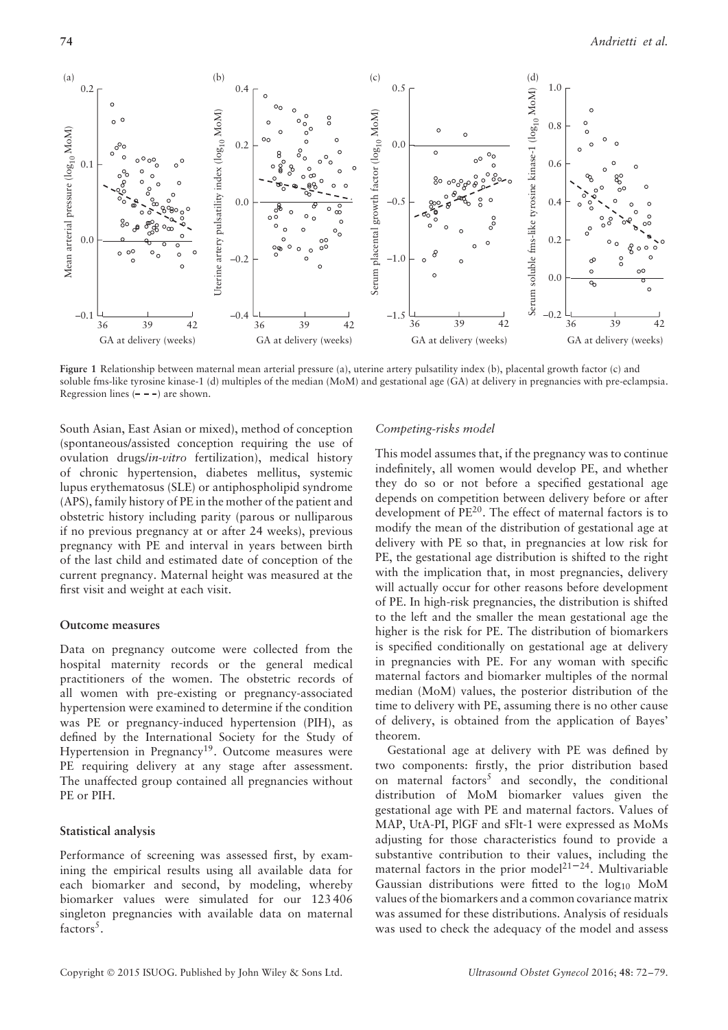

**Figure 1** Relationship between maternal mean arterial pressure (a), uterine artery pulsatility index (b), placental growth factor (c) and soluble fms-like tyrosine kinase-1 (d) multiples of the median (MoM) and gestational age (GA) at delivery in pregnancies with pre-eclampsia. Regression lines  $(- - -)$  are shown.

South Asian, East Asian or mixed), method of conception (spontaneous/assisted conception requiring the use of ovulation drugs/*in-vitro* fertilization), medical history of chronic hypertension, diabetes mellitus, systemic lupus erythematosus (SLE) or antiphospholipid syndrome (APS), family history of PE in the mother of the patient and obstetric history including parity (parous or nulliparous if no previous pregnancy at or after 24 weeks), previous pregnancy with PE and interval in years between birth of the last child and estimated date of conception of the current pregnancy. Maternal height was measured at the first visit and weight at each visit.

#### **Outcome measures**

Data on pregnancy outcome were collected from the hospital maternity records or the general medical practitioners of the women. The obstetric records of all women with pre-existing or pregnancy-associated hypertension were examined to determine if the condition was PE or pregnancy-induced hypertension (PIH), as defined by the International Society for the Study of Hypertension in Pregnancy<sup>19</sup>. Outcome measures were PE requiring delivery at any stage after assessment. The unaffected group contained all pregnancies without PE or PIH.

#### **Statistical analysis**

Performance of screening was assessed first, by examining the empirical results using all available data for each biomarker and second, by modeling, whereby biomarker values were simulated for our 123 406 singleton pregnancies with available data on maternal factors<sup>5</sup>.

#### *Competing-risks model*

This model assumes that, if the pregnancy was to continue indefinitely, all women would develop PE, and whether they do so or not before a specified gestational age depends on competition between delivery before or after development of PE20. The effect of maternal factors is to modify the mean of the distribution of gestational age at delivery with PE so that, in pregnancies at low risk for PE, the gestational age distribution is shifted to the right with the implication that, in most pregnancies, delivery will actually occur for other reasons before development of PE. In high-risk pregnancies, the distribution is shifted to the left and the smaller the mean gestational age the higher is the risk for PE. The distribution of biomarkers is specified conditionally on gestational age at delivery in pregnancies with PE. For any woman with specific maternal factors and biomarker multiples of the normal median (MoM) values, the posterior distribution of the time to delivery with PE, assuming there is no other cause of delivery, is obtained from the application of Bayes' theorem.

Gestational age at delivery with PE was defined by two components: firstly, the prior distribution based on maternal factors<sup>5</sup> and secondly, the conditional distribution of MoM biomarker values given the gestational age with PE and maternal factors. Values of MAP, UtA-PI, PlGF and sFlt-1 were expressed as MoMs adjusting for those characteristics found to provide a substantive contribution to their values, including the maternal factors in the prior model<sup>21-24</sup>. Multivariable Gaussian distributions were fitted to the  $log_{10}$  MoM values of the biomarkers and a common covariance matrix was assumed for these distributions. Analysis of residuals was used to check the adequacy of the model and assess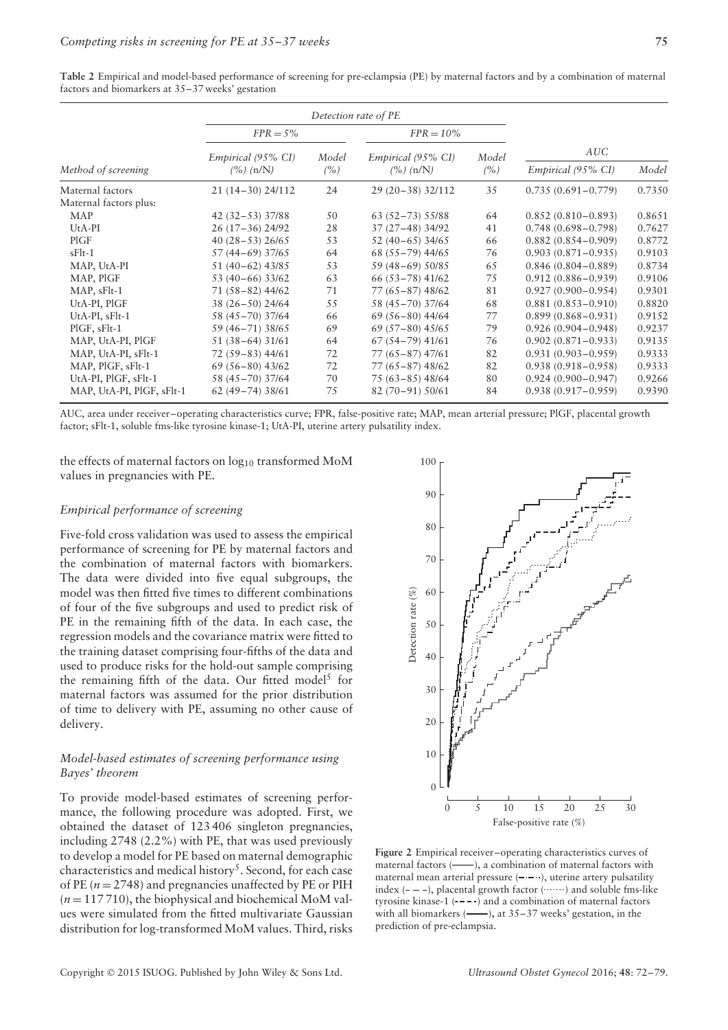|                           | $FPR = 5\%$                |              | $FPR = 10\%$                                     |               |                        |        |
|---------------------------|----------------------------|--------------|--------------------------------------------------|---------------|------------------------|--------|
|                           | Empirical (95% CI)         | Model<br>(%) | Empirical (95% CI)<br>$\frac{\gamma_0}{n}$ (n/N) | Model<br>(% ) | AUC                    |        |
| Method of screening       | $\frac{\gamma_0}{n}$ (n/N) |              |                                                  |               | Empirical (95% CI)     | Model  |
| Maternal factors          | 21 (14-30) 24/112          | 24           | 29 (20-38) 32/112                                | 35            | $0.735(0.691 - 0.779)$ | 0.7350 |
| Maternal factors plus:    |                            |              |                                                  |               |                        |        |
| MAP                       | $42(32-53)37/88$           | 50           | $63(52-73)55/88$                                 | 64            | $0.852(0.810 - 0.893)$ | 0.8651 |
| $UtA-PI$                  | 26 (17-36) 24/92           | 28           | 37 (27-48) 34/92                                 | 41            | $0.748(0.698 - 0.798)$ | 0.7627 |
| PIGF                      | 40 $(28-53)$ 26/65         | 53           | $52(40-65)$ 34/65                                | 66            | $0.882(0.854 - 0.909)$ | 0.8772 |
| $sFlt-1$                  | 57 (44–69) 37/65           | 64           | 68 (55-79) 44/65                                 | 76            | $0.903(0.871 - 0.935)$ | 0.9103 |
| MAP, UtA-PI               | $51(40-62)$ 43/85          | 53           | 59 (48-69) 50/85                                 | 65            | $0.846(0.804 - 0.889)$ | 0.8734 |
| MAP, PIGF                 | 53 (40-66) 33/62           | 63           | $66(53-78)$ 41/62                                | 75            | $0.912(0.886 - 0.939)$ | 0.9106 |
| MAP, sFlt-1               | $71(58-82)$ 44/62          | 71           | $77(65 - 87)$ 48/62                              | 81            | $0.927(0.900 - 0.954)$ | 0.9301 |
| UtA-PI, PIGF              | $38(26-50)$ 24/64          | 55           | 58 (45-70) 37/64                                 | 68            | $0.881(0.853 - 0.910)$ | 0.8820 |
| UtA-PI, sFlt-1            | 58 (45-70) 37/64           | 66           | $69(56-80)$ 44/64                                | 77            | $0.899(0.868 - 0.931)$ | 0.9152 |
| $PIGF, sFlt-1$            | 59 (46-71) 38/65           | 69           | $69(57-80)$ 45/65                                | 79            | $0.926(0.904 - 0.948)$ | 0.9237 |
| MAP, UtA-PI, PIGF         | $51(38-64)31/61$           | 64           | $67(54-79)$ 41/61                                | 76            | $0.902(0.871 - 0.933)$ | 0.9135 |
| MAP, UtA-PI, sFlt-1       | $72(59-83)$ 44/61          | 72           | $77(65 - 87)$ 47/61                              | 82            | $0.931(0.903 - 0.959)$ | 0.9333 |
| MAP, PIGF, sFlt-1         | $69(56-80)$ 43/62          | 72           | $77(65 - 87)$ 48/62                              | 82            | $0.938(0.918 - 0.958)$ | 0.9333 |
| UtA-PI, PIGF, sFlt-1      | 58 (45-70) 37/64           | 70           | 75 (63-85) 48/64                                 | 80            | $0.924(0.900 - 0.947)$ | 0.9266 |
| MAP, UtA-PI, PIGF, sFlt-1 | $62(49-74)38/61$           | 75           | 82 (70-91) 50/61                                 | 84            | $0.938(0.917 - 0.959)$ | 0.9390 |

**Table 2** Empirical and model-based performance of screening for pre-eclampsia (PE) by maternal factors and by a combination of maternal factors and biomarkers at 35–37 weeks' gestation

AUC, area under receiver–operating characteristics curve; FPR, false-positive rate; MAP, mean arterial pressure; PlGF, placental growth factor; sFlt-1, soluble fms-like tyrosine kinase-1; UtA-PI, uterine artery pulsatility index.

the effects of maternal factors on log<sub>10</sub> transformed MoM values in pregnancies with PE.

#### *Empirical performance of screening*

Five-fold cross validation was used to assess the empirical performance of screening for PE by maternal factors and the combination of maternal factors with biomarkers. The data were divided into five equal subgroups, the model was then fitted five times to different combinations of four of the five subgroups and used to predict risk of PE in the remaining fifth of the data. In each case, the regression models and the covariance matrix were fitted to the training dataset comprising four-fifths of the data and used to produce risks for the hold-out sample comprising the remaining fifth of the data. Our fitted model<sup>5</sup> for maternal factors was assumed for the prior distribution of time to delivery with PE, assuming no other cause of delivery.

## *Model-based estimates of screening performance using Bayes' theorem*

To provide model-based estimates of screening performance, the following procedure was adopted. First, we obtained the dataset of 123 406 singleton pregnancies, including 2748 (2.2%) with PE, that was used previously to develop a model for PE based on maternal demographic characteristics and medical history<sup>5</sup>. Second, for each case of PE  $(n = 2748)$  and pregnancies unaffected by PE or PIH  $(n=117710)$ , the biophysical and biochemical MoM values were simulated from the fitted multivariate Gaussian distribution for log-transformed MoM values. Third, risks



**Figure 2** Empirical receiver–operating characteristics curves of maternal factors (-), a combination of maternal factors with maternal mean arterial pressure  $(- - \cdot)$ , uterine artery pulsatility index  $(- - )$ , placental growth factor  $( \cdots )$  and soluble fms-like tyrosine kinase-1  $(---)$  and a combination of maternal factors with all biomarkers (**-**), at 35–37 weeks' gestation, in the

prediction of pre-eclampsia.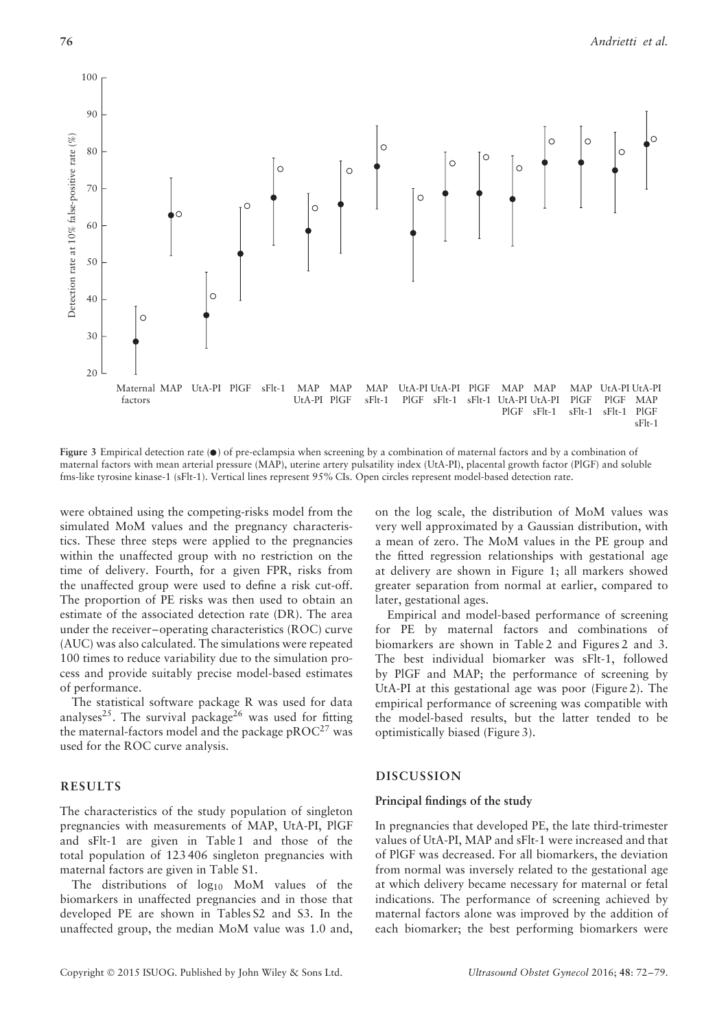

**Figure 3** Empirical detection rate ( $\bullet$ ) of pre-eclampsia when screening by a combination of maternal factors and by a combination of maternal factors with mean arterial pressure (MAP), uterine artery pulsatility index (UtA-PI), placental growth factor (PlGF) and soluble fms-like tyrosine kinase-1 (sFlt-1). Vertical lines represent 95% CIs. Open circles represent model-based detection rate.

were obtained using the competing-risks model from the simulated MoM values and the pregnancy characteristics. These three steps were applied to the pregnancies within the unaffected group with no restriction on the time of delivery. Fourth, for a given FPR, risks from the unaffected group were used to define a risk cut-off. The proportion of PE risks was then used to obtain an estimate of the associated detection rate (DR). The area under the receiver–operating characteristics (ROC) curve (AUC) was also calculated. The simulations were repeated 100 times to reduce variability due to the simulation process and provide suitably precise model-based estimates of performance.

The statistical software package R was used for data analyses<sup>25</sup>. The survival package<sup>26</sup> was used for fitting the maternal-factors model and the package  $pROC^{27}$  was used for the ROC curve analysis.

# **RESULTS**

The characteristics of the study population of singleton pregnancies with measurements of MAP, UtA-PI, PlGF and sFlt-1 are given in Table 1 and those of the total population of 123 406 singleton pregnancies with maternal factors are given in Table S1.

The distributions of  $log_{10}$  MoM values of the biomarkers in unaffected pregnancies and in those that developed PE are shown in Tables S2 and S3. In the unaffected group, the median MoM value was 1.0 and,

Copyright © 2015 ISUOG. Published by John Wiley & Sons Ltd. *Ultrasound Obstet Gynecol* 2016; **48**: 72–79.

on the log scale, the distribution of MoM values was very well approximated by a Gaussian distribution, with a mean of zero. The MoM values in the PE group and the fitted regression relationships with gestational age at delivery are shown in Figure 1; all markers showed greater separation from normal at earlier, compared to later, gestational ages.

Empirical and model-based performance of screening for PE by maternal factors and combinations of biomarkers are shown in Table 2 and Figures 2 and 3. The best individual biomarker was sFlt-1, followed by PlGF and MAP; the performance of screening by UtA-PI at this gestational age was poor (Figure 2). The empirical performance of screening was compatible with the model-based results, but the latter tended to be optimistically biased (Figure 3).

# **DISCUSSION**

# **Principal findings of the study**

In pregnancies that developed PE, the late third-trimester values of UtA-PI, MAP and sFlt-1 were increased and that of PlGF was decreased. For all biomarkers, the deviation from normal was inversely related to the gestational age at which delivery became necessary for maternal or fetal indications. The performance of screening achieved by maternal factors alone was improved by the addition of each biomarker; the best performing biomarkers were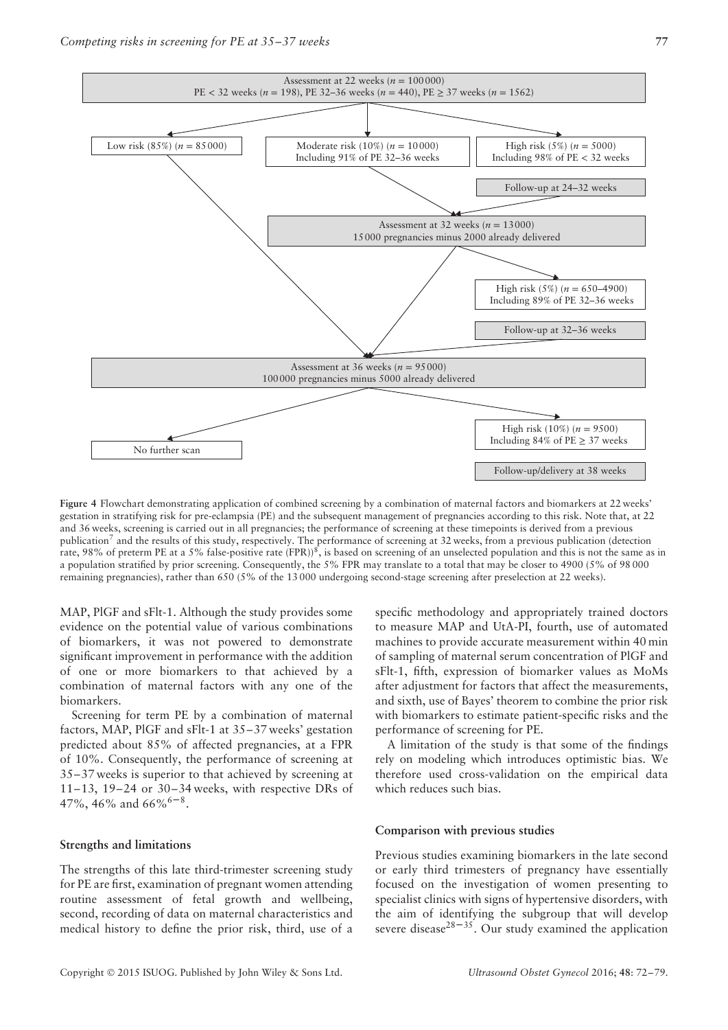

**Figure 4** Flowchart demonstrating application of combined screening by a combination of maternal factors and biomarkers at 22 weeks' gestation in stratifying risk for pre-eclampsia (PE) and the subsequent management of pregnancies according to this risk. Note that, at 22 and 36 weeks, screening is carried out in all pregnancies; the performance of screening at these timepoints is derived from a previous publication<sup>7</sup> and the results of this study, respectively. The performance of screening at 32 weeks, from a previous publication (detection rate, 98% of preterm PE at a 5% false-positive rate  $(FPR)^8$ , is based on screening of an unselected population and this is not the same as in a population stratified by prior screening. Consequently, the 5% FPR may translate to a total that may be closer to 4900 (5% of 98 000 remaining pregnancies), rather than 650 (5% of the 13 000 undergoing second-stage screening after preselection at 22 weeks).

MAP, PlGF and sFlt-1. Although the study provides some evidence on the potential value of various combinations of biomarkers, it was not powered to demonstrate significant improvement in performance with the addition of one or more biomarkers to that achieved by a combination of maternal factors with any one of the biomarkers.

Screening for term PE by a combination of maternal factors, MAP, PlGF and sFlt-1 at 35–37 weeks' gestation predicted about 85% of affected pregnancies, at a FPR of 10%. Consequently, the performance of screening at 35–37 weeks is superior to that achieved by screening at 11–13, 19–24 or 30–34 weeks, with respective DRs of 47%, 46% and 66%<sup>6-8</sup>.

#### **Strengths and limitations**

The strengths of this late third-trimester screening study for PE are first, examination of pregnant women attending routine assessment of fetal growth and wellbeing, second, recording of data on maternal characteristics and medical history to define the prior risk, third, use of a

specific methodology and appropriately trained doctors to measure MAP and UtA-PI, fourth, use of automated machines to provide accurate measurement within 40 min of sampling of maternal serum concentration of PlGF and sFlt-1, fifth, expression of biomarker values as MoMs after adjustment for factors that affect the measurements, and sixth, use of Bayes' theorem to combine the prior risk with biomarkers to estimate patient-specific risks and the performance of screening for PE.

A limitation of the study is that some of the findings rely on modeling which introduces optimistic bias. We therefore used cross-validation on the empirical data which reduces such bias.

#### **Comparison with previous studies**

Previous studies examining biomarkers in the late second or early third trimesters of pregnancy have essentially focused on the investigation of women presenting to specialist clinics with signs of hypertensive disorders, with the aim of identifying the subgroup that will develop severe disease<sup>28–35</sup>. Our study examined the application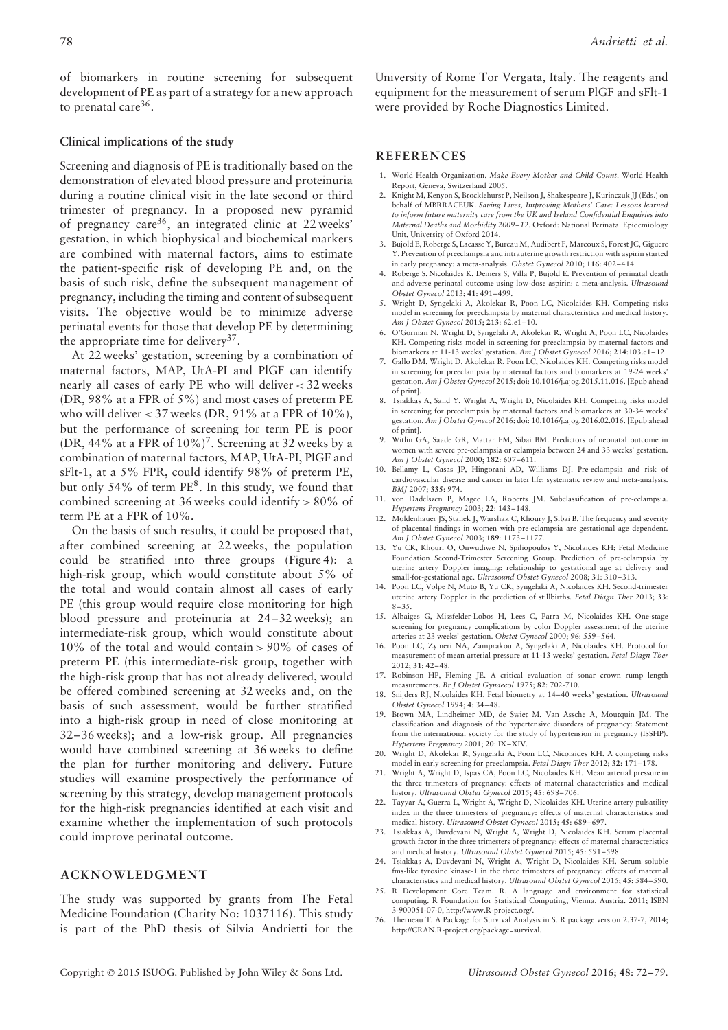of biomarkers in routine screening for subsequent development of PE as part of a strategy for a new approach to prenatal care $36$ .

# **Clinical implications of the study**

Screening and diagnosis of PE is traditionally based on the demonstration of elevated blood pressure and proteinuria during a routine clinical visit in the late second or third trimester of pregnancy. In a proposed new pyramid of pregnancy care36, an integrated clinic at 22 weeks' gestation, in which biophysical and biochemical markers are combined with maternal factors, aims to estimate the patient-specific risk of developing PE and, on the basis of such risk, define the subsequent management of pregnancy, including the timing and content of subsequent visits. The objective would be to minimize adverse perinatal events for those that develop PE by determining the appropriate time for delivery<sup>37</sup>.

At 22 weeks' gestation, screening by a combination of maternal factors, MAP, UtA-PI and PlGF can identify nearly all cases of early PE who will deliver *<* 32 weeks (DR, 98% at a FPR of 5%) and most cases of preterm PE who will deliver *<* 37 weeks (DR, 91% at a FPR of 10%), but the performance of screening for term PE is poor (DR, 44% at a FPR of  $10\%$ )<sup>7</sup>. Screening at 32 weeks by a combination of maternal factors, MAP, UtA-PI, PlGF and sFlt-1, at a 5% FPR, could identify 98% of preterm PE, but only  $54\%$  of term  $PE^8$ . In this study, we found that combined screening at 36 weeks could identify *>* 80% of term PE at a FPR of 10%.

On the basis of such results, it could be proposed that, after combined screening at 22 weeks, the population could be stratified into three groups (Figure 4): a high-risk group, which would constitute about 5% of the total and would contain almost all cases of early PE (this group would require close monitoring for high blood pressure and proteinuria at 24–32 weeks); an intermediate-risk group, which would constitute about 10% of the total and would contain *>* 90% of cases of preterm PE (this intermediate-risk group, together with the high-risk group that has not already delivered, would be offered combined screening at 32 weeks and, on the basis of such assessment, would be further stratified into a high-risk group in need of close monitoring at 32–36 weeks); and a low-risk group. All pregnancies would have combined screening at 36 weeks to define the plan for further monitoring and delivery. Future studies will examine prospectively the performance of screening by this strategy, develop management protocols for the high-risk pregnancies identified at each visit and examine whether the implementation of such protocols could improve perinatal outcome.

## **ACKNOWLEDGMENT**

The study was supported by grants from The Fetal Medicine Foundation (Charity No: 1037116). This study is part of the PhD thesis of Silvia Andrietti for the

University of Rome Tor Vergata, Italy. The reagents and equipment for the measurement of serum PlGF and sFlt-1 were provided by Roche Diagnostics Limited.

# **REFERENCES**

- 1. World Health Organization. *Make Every Mother and Child Count*. World Health Report, Geneva, Switzerland 2005.
- 2. Knight M, Kenyon S, Brocklehurst P, Neilson J, Shakespeare J, Kurinczuk JJ (Eds.) on behalf of MBRRACEUK. *Saving Lives, Improving Mothers' Care: Lessons learned to inform future maternity care from the UK and Ireland Confidential Enquiries into Maternal Deaths and Morbidity 2009–12*. Oxford: National Perinatal Epidemiology Unit, University of Oxford 2014.
- 3. Bujold E, Roberge S, Lacasse Y, Bureau M, Audibert F, Marcoux S, Forest JC, Giguere Y. Prevention of preeclampsia and intrauterine growth restriction with aspirin started in early pregnancy: a meta-analysis. *Obstet Gynecol* 2010; **116**: 402–414.
- 4. Roberge S, Nicolaides K, Demers S, Villa P, Bujold E. Prevention of perinatal death and adverse perinatal outcome using low-dose aspirin: a meta-analysis. *Ultrasound Obstet Gynecol* 2013; **41**: 491–499.
- 5. Wright D, Syngelaki A, Akolekar R, Poon LC, Nicolaides KH. Competing risks model in screening for preeclampsia by maternal characteristics and medical history. *Am J Obstet Gynecol* 2015; **213**: 62.e1–10.
- 6. O'Gorman N, Wright D, Syngelaki A, Akolekar R, Wright A, Poon LC, Nicolaides KH. Competing risks model in screening for preeclampsia by maternal factors and biomarkers at 11-13 weeks' gestation. *Am J Obstet Gynecol* 2016; **214**:103.e1–12
- 7. Gallo DM, Wright D, Akolekar R, Poon LC, Nicolaides KH. Competing risks model in screening for preeclampsia by maternal factors and biomarkers at 19-24 weeks' gestation. *Am J Obstet Gynecol* 2015; doi: 10.1016/j.ajog.2015.11.016. [Epub ahead of print].
- 8. Tsiakkas A, Saiid Y, Wright A, Wright D, Nicolaides KH. Competing risks model in screening for preeclampsia by maternal factors and biomarkers at 30-34 weeks' gestation. *Am J Obstet Gynecol* 2016; doi: 10.1016/j.ajog.2016.02.016. [Epub ahead of print].
- 9. Witlin GA, Saade GR, Mattar FM, Sibai BM. Predictors of neonatal outcome in women with severe pre-eclampsia or eclampsia between 24 and 33 weeks' gestation. *Am J Obstet Gynecol* 2000; **182**: 607–611.
- 10. Bellamy L, Casas JP, Hingorani AD, Williams DJ. Pre-eclampsia and risk of cardiovascular disease and cancer in later life: systematic review and meta-analysis. *BMJ* 2007; **335**: 974.
- 11. von Dadelszen P, Magee LA, Roberts JM. Subclassification of pre-eclampsia. *Hypertens Pregnancy* 2003; **22**: 143–148.
- 12. Moldenhauer JS, Stanek J, Warshak C, Khoury J, Sibai B. The frequency and severity of placental findings in women with pre-eclampsia are gestational age dependent. *Am J Obstet Gynecol* 2003; **189**: 1173–1177.
- 13. Yu CK, Khouri O, Onwudiwe N, Spiliopoulos Y, Nicolaides KH; Fetal Medicine Foundation Second-Trimester Screening Group. Prediction of pre-eclampsia by uterine artery Doppler imaging: relationship to gestational age at delivery and small-for-gestational age. *Ultrasound Obstet Gynecol* 2008; **31**: 310–313.
- 14. Poon LC, Volpe N, Muto B, Yu CK, Syngelaki A, Nicolaides KH. Second-trimester uterine artery Doppler in the prediction of stillbirths. *Fetal Diagn Ther* 2013; **33**: 8–35.
- 15. Albaiges G, Missfelder-Lobos H, Lees C, Parra M, Nicolaides KH. One-stage screening for pregnancy complications by color Doppler assessment of the uterine arteries at 23 weeks' gestation. *Obstet Gynecol* 2000; **96**: 559–564.
- 16. Poon LC, Zymeri NA, Zamprakou A, Syngelaki A, Nicolaides KH. Protocol for measurement of mean arterial pressure at 11-13 weeks' gestation. *Fetal Diagn Ther* 2012; **31**: 42–48.
- 17. Robinson HP, Fleming JE. A critical evaluation of sonar crown rump length measurements. *Br J Obstet Gynaecol* 1975; **82**: 702-710.
- 18. Snijders RJ, Nicolaides KH. Fetal biometry at 14–40 weeks' gestation. *Ultrasound Obstet Gynecol* 1994; **4**: 34–48.
- 19. Brown MA, Lindheimer MD, de Swiet M, Van Assche A, Moutquin JM. The classification and diagnosis of the hypertensive disorders of pregnancy: Statement from the international society for the study of hypertension in pregnancy (ISSHP). *Hypertens Pregnancy* 2001; **20**: IX–XIV.
- 20. Wright D, Akolekar R, Syngelaki A, Poon LC, Nicolaides KH. A competing risks model in early screening for preeclampsia. *Fetal Diagn Ther* 2012; **32**: 171–178.
- 21. Wright A, Wright D, Ispas CA, Poon LC, Nicolaides KH. Mean arterial pressure in the three trimesters of pregnancy: effects of maternal characteristics and medical history. *Ultrasound Obstet Gynecol* 2015; **45**: 698–706.
- 22. Tayyar A, Guerra L, Wright A, Wright D, Nicolaides KH. Uterine artery pulsatility index in the three trimesters of pregnancy: effects of maternal characteristics and medical history. *Ultrasound Obstet Gynecol* 2015; **45**: 689–697.
- 23. Tsiakkas A, Duvdevani N, Wright A, Wright D, Nicolaides KH. Serum placental growth factor in the three trimesters of pregnancy: effects of maternal characteristics and medical history. *Ultrasound Obstet Gynecol* 2015; **45**: 591–598.
- 24. Tsiakkas A, Duvdevani N, Wright A, Wright D, Nicolaides KH. Serum soluble fms-like tyrosine kinase-1 in the three trimesters of pregnancy: effects of maternal characteristics and medical history. *Ultrasound Obstet Gynecol* 2015; **45**: 584–590.
- 25. R Development Core Team. R. A language and environment for statistical computing. R Foundation for Statistical Computing, Vienna, Austria. 2011; ISBN 3-900051-07-0, http://www.R-project.org/.
- 26. Therneau T. A Package for Survival Analysis in S. R package version 2.37-7, 2014; http://CRAN.R-project.org/package=survival.